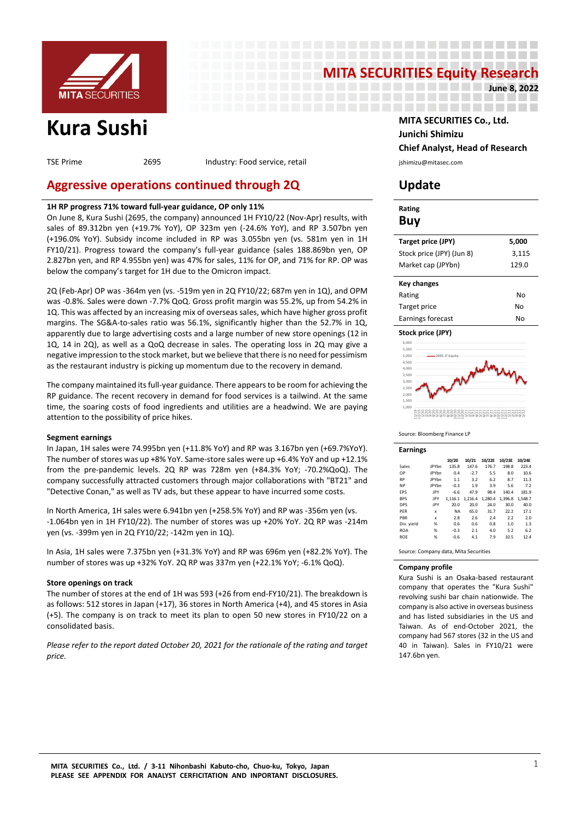

# **MITA SECURITIES Equity Research**

---------------------

----------------------

--------------------

**June 8, 2022**

TSE Prime 2695 Industry: Food service, retail industry: Food service, retail in the substitution of the section

# **Aggressive operations continued through 2Q Update**

# **1H RP progress 71% toward full-year guidance, OP only 11%**

On June 8, Kura Sushi (2695, the company) announced 1H FY10/22 (Nov-Apr) results, with sales of 89.312bn yen (+19.7% YoY), OP 323m yen (-24.6% YoY), and RP 3.507bn yen (+196.0% YoY). Subsidy income included in RP was 3.055bn yen (vs. 581m yen in 1H FY10/21). Progress toward the company's full-year guidance (sales 188.869bn yen, OP 2.827bn yen, and RP 4.955bn yen) was 47% for sales, 11% for OP, and 71% for RP. OP was below the company's target for 1H due to the Omicron impact.

2Q (Feb-Apr) OP was -364m yen (vs. -519m yen in 2Q FY10/22; 687m yen in 1Q), and OPM was -0.8%. Sales were down -7.7% QoQ. Gross profit margin was 55.2%, up from 54.2% in 1Q. This was affected by an increasing mix of overseas sales, which have higher gross profit margins. The SG&A-to-sales ratio was 56.1%, significantly higher than the 52.7% in 1Q, apparently due to large advertising costs and a large number of new store openings (12 in 1Q, 14 in 2Q), as well as a QoQ decrease in sales. The operating loss in 2Q may give a negative impression to the stock market, but we believe that there is no need for pessimism as the restaurant industry is picking up momentum due to the recovery in demand.

The company maintained its full-year guidance. There appears to be room for achieving the RP guidance. The recent recovery in demand for food services is a tailwind. At the same time, the soaring costs of food ingredients and utilities are a headwind. We are paying attention to the possibility of price hikes.

### **Segment earnings**

In Japan, 1H sales were 74.995bn yen (+11.8% YoY) and RP was 3.167bn yen (+69.7%YoY). The number of stores was up +8% YoY. Same-store sales were up +6.4% YoY and up +12.1% from the pre-pandemic levels. 2Q RP was 728m yen (+84.3% YoY; -70.2%QoQ). The company successfully attracted customers through major collaborations with "BT21" and "Detective Conan," as well as TV ads, but these appear to have incurred some costs.

In North America, 1H sales were 6.941bn yen (+258.5% YoY) and RP was -356m yen (vs. -1.064bn yen in 1H FY10/22). The number of stores was up +20% YoY. 2Q RP was -214m yen (vs. -399m yen in 2Q FY10/22; -142m yen in 1Q).

In Asia, 1H sales were 7.375bn yen (+31.3% YoY) and RP was 696m yen (+82.2% YoY). The number of stores was up +32% YoY. 2Q RP was 337m yen (+22.1% YoY; -6.1% QoQ).

### **Store openings on track**

The number of stores at the end of 1H was 593 (+26 from end-FY10/21). The breakdown is as follows: 512 stores in Japan (+17), 36 stores in North America (+4), and 45 stores in Asia (+5). The company is on track to meet its plan to open 50 new stores in FY10/22 on a consolidated basis.

*Please refer to the report dated October 20, 2021 for the rationale of the rating and target price.*

**Kura Sushi MITA SECURITIES Co., Ltd. Junichi Shimizu Chief Analyst, Head of Research**

| Rating<br>Buy             |       |
|---------------------------|-------|
| Target price (JPY)        | 5,000 |
| Stock price (JPY) (Jun 8) | 3,115 |
| Market cap (JPYbn)        | 129.0 |
| Key changes               |       |
| Rating                    | N٥    |
| Target price              | N٥    |
| Earnings forecast         | N٥    |
| Stock price (JPY)         |       |



#### Source: Bloomberg Finance LP

| <b>Earnings</b> |              |           |         |         |         |         |
|-----------------|--------------|-----------|---------|---------|---------|---------|
|                 |              | 10/20     | 10/21   | 10/22E  | 10/23E  | 10/24E  |
| Sales           | <b>JPYbn</b> | 135.8     | 147.6   | 176.7   | 198.8   | 223.4   |
| OP              | <b>JPYbn</b> | 0.4       | $-2.7$  | 5.5     | 8.0     | 10.6    |
| <b>RP</b>       | <b>JPYbn</b> | 1.1       | 3.2     | 6.2     | 8.7     | 11.3    |
| <b>NP</b>       | <b>JPYbn</b> | $-0.3$    | 1.9     | 3.9     | 5.6     | 7.2     |
| EPS             | JPY          | $-6.6$    | 47.9    | 98.4    | 140.4   | 181.9   |
| <b>BPS</b>      | JPY          | 1.116.1   | 1.216.4 | 1.280.4 | 1.396.8 | 1.548.7 |
| <b>DPS</b>      | JPY          | 20.0      | 20.0    | 24.0    | 30.0    | 40.0    |
| PER             | x            | <b>NA</b> | 65.0    | 31.7    | 22.2    | 17.1    |
| PBR             | $\mathbf x$  | 2.8       | 2.6     | 7.4     | 2.2     | 2.0     |
| Div. yield      | %            | 0.6       | 0.6     | 0.8     | 1.0     | 1.3     |
| <b>ROA</b>      | %            | $-0.3$    | 2.1     | 4.0     | 5.2     | 6.2     |
| <b>ROE</b>      | %            | $-0.6$    | 4.1     | 7.9     | 10.5    | 12.4    |
|                 |              |           |         |         |         |         |

Source: Company data, Mita Securities

#### **Company profile**

Kura Sushi is an Osaka-based restaurant company that operates the "Kura Sushi" revolving sushi bar chain nationwide. The company is also active in overseas business and has listed subsidiaries in the US and Taiwan. As of end-October 2021, the company had 567 stores (32 in the US and 40 in Taiwan). Sales in FY10/21 were 147.6bn yen.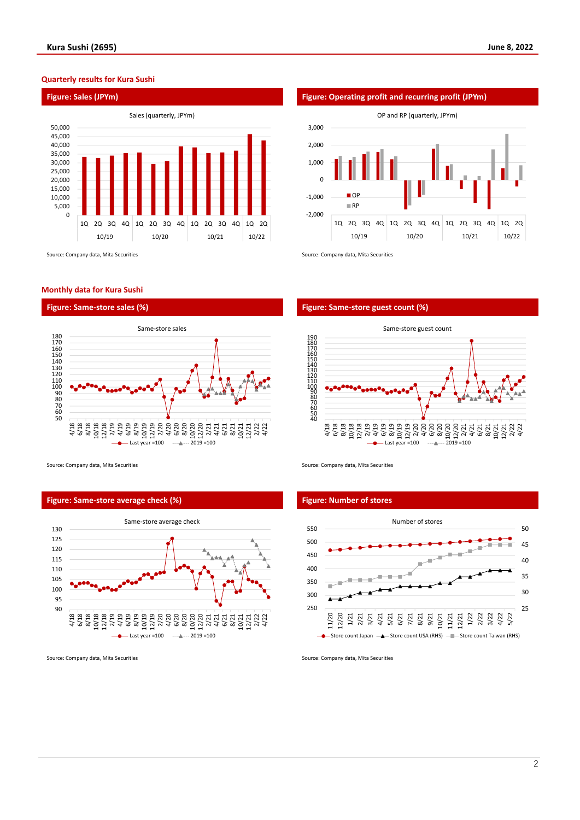## **Quarterly results for Kura Sushi**



Source: Company data, Mita Securities Source: Company data, Mita Securities Source: Company data, Mita Securities

#### **Monthly data for Kura Sushi**





Source: Company data, Mita Securities Source: Company data, Mita Securities Source: Company data, Mita Securities

## **Figure: Same-store average check (%) Figure: Number of stores**





#### **Figure: Same-store sales (%) Figure: Same-store guest count (%)**





Source: Company data, Mita Securities Source: Company data, Mita Securities Source: Company data, Mita Securities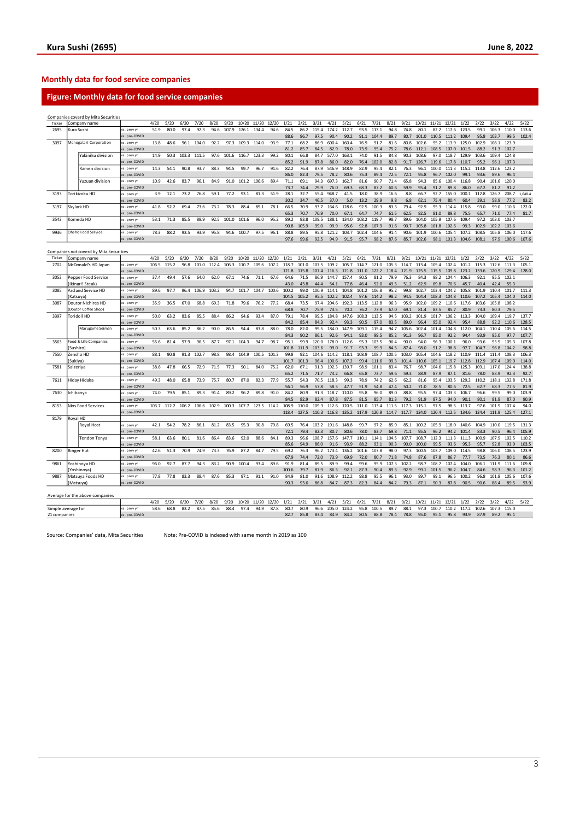# **Monthly data for food service companies**

# **Figure: Monthly data for food service companies**

|                    |            | Companies coverd by Mita Securities     |                              |       |       |       |       |       |       |       |       |       |               |               |                      |               |                |                            |               |               |               |                            |               |               |               |                     |               |                |               |
|--------------------|------------|-----------------------------------------|------------------------------|-------|-------|-------|-------|-------|-------|-------|-------|-------|---------------|---------------|----------------------|---------------|----------------|----------------------------|---------------|---------------|---------------|----------------------------|---------------|---------------|---------------|---------------------|---------------|----------------|---------------|
| Ticker             |            | Company name                            |                              | 4/20  | 5/20  | 6/20  | 7/20  | 8/20  | 9/20  | 10/20 | 11/20 | 12/20 | 1/21          | 2/21          | 3/21                 | 4/21          | 5/21           | 6/21                       | 7/21          | 8/21          | 9/21          | 10/21                      | 11/21         | 12/21         | 1/22          | 2/22                | 3/22          | 4/22           | 5/22          |
| 2695               | Kura Sushi |                                         | vs. prev yr                  | 51.9  | 80.0  | 97.4  | 92.3  | 94.6  | 107.9 | 126.1 | 134.4 | 94.6  | 84.5          | 86.2          | 115.4                | 174.2         | 112.7          | 93.5                       | 113.1         | 94.8          | 74.8          | 80.1                       | 82.2          | 117.6         | 123.5         | 99.1                | 106.3         | 110.0          | 113.6         |
|                    |            |                                         | s. pre-COVID                 |       |       |       |       |       |       |       |       |       | 88.6          | 96.7          | 97.5                 | 90.4          | 90.2           | 91.1                       | 104.4         | 89.7          | 80.7          | 101.0                      | 110.5         | 111.2         | 109.4         | 95.8                | 103.7         | 99.5           | 102.4         |
| 3097               |            | Monogatari Corporation                  | vs. prev vr                  | 13.8  | 48.6  | 96.1  | 104.0 | 92.2  | 97.3  | 109.3 | 114.0 | 93.9  | 77.1          | 68.2          | 86.9                 | 600.4         | 160.4          | 76.9                       | 91.7          | 81.6          | 80.8          | 102.6                      | 95.2          | 113.9         | 125.0         | 102.9               | 108.1         | 123.9          |               |
|                    |            |                                         | vs. pre-COVID                |       |       |       |       |       |       |       |       |       | 81.2          | 85.7          | 84.5                 | 82.9          | 78.0           | 73.9                       | 95.4          | 75.2          | 78.6          | 112.1                      | 108.5         | 107.0         | 101.5         | 88.2                | 91.3          | 102.7          |               |
|                    |            | Yakiniku division                       | vs. prev vi                  | 14.9  | 50.3  | 103.3 | 111.5 | 97.6  | 101.6 | 116.7 | 123.3 | 99.2  | 80.1          | 66.8          | 84.7                 | 577.0         | 163.1          | 74.0                       | 91.5          | 84.8          | 90.3          | 108.6                      | 97.0          | 118.7         | 129.9         | 103.6               | 109.4         | 124.8          |               |
|                    |            |                                         | vs. pre-COVID                |       |       |       |       |       |       |       |       |       | 85.2          | 91.9          | 87.8                 | 86.0          | 82.0           | 76.4                       | 102.0         | 82.8          | 91.7          | 126.7                      | 119.6         | 117.8         | 110.7         | 95.2                | 96.1          | 107.3          |               |
|                    |            | Ramen division                          | vs. prev vi                  | 14.3  | 54.1  | 90.8  | 93.7  | 88.3  | 94.5  | 99.7  | 96.7  | 91.6  | 82.2          | 76.4          | 87.9                 | 546.9         | 148.9          | 82.9                       | 95.4          | 82.1          | 76.3          | 96.1                       | 100.0         | 111.3         | 115.2         | 113.8               | 112.6         | 123.2          |               |
|                    |            |                                         | vs. pre-COVID                |       |       |       |       |       |       |       |       |       | 86.0          | 82.3          | 79.5                 | 78.2          | 80.6           | 75.3                       | 89.4          | 72.5          | 72.1          | 95.8                       | 96.7          | 102.0         | 99.1          | 93.6                | 89.6          | 96.4           |               |
|                    |            | Yuzuan division                         | vs. prev y                   | 10.9  | 42.6  | 83.7  | 96.1  | 84.9  | 91.0  | 101.2 | 106.6 | 89.4  | 71.1          | 69.1          | 94.3                 | 697.3         | 162.7          | 81.6                       | 90.7          | 71.4          | 65.8          | 94.3                       | 85.6          | 100.4         | 116.8         | 90.4                | 101.6         | 120.0          |               |
|                    |            |                                         | vs. pre-COVID                |       |       |       |       |       |       |       |       |       | 73.7          | 74.4          | 79.9                 | 76.0          | 69.3           | 68.3                       | 87.2          | 60.6          | 59.9          | 95.4                       | 91.2          | 89.8          | 86.0          | 67.2                | 81.2          | 91.2           |               |
| 3193               |            | Torikizoku HD                           | vs. prev yr                  | 3.9   | 12.1  | 73.2  | 76.8  | 59.1  | 77.2  | 93.1  | 81.3  | 51.9  | 28.1          | 32.7          | 55.4                 | 948.7         | 41.5           | 18.0                       | 38.9          | 16.6          | 8.8           | 66.7                       | 92.7          | 155.0         | 200.1         | 112.8               | 126.7         | 208.7          | 1,648.4       |
| 3197               |            |                                         | vs. pre-COVID<br>vs. prev y  | 41.8  | 52.2  | 69.4  | 73.6  | 73.2  | 78.3  | 88.4  | 85.1  | 78.1  | 30.2<br>66.5  | 34.7<br>70.9  | 46.5<br>93.7         | 37.0<br>164.6 | 5.0<br>128.6   | 13.2<br>92.5               | 29.9<br>100.3 | 9.8<br>83.3   | 6.8<br>79.4   | 62.1<br>92.9               | 75.4<br>95.3  | 80.4<br>114.4 | 60.4<br>115.8 | 39.1<br>93.0        | 58.9<br>99.0  | 77.2<br>110.6  | 83.2<br>122.0 |
|                    |            | Skylark HD                              |                              |       |       |       |       |       |       |       |       |       |               |               |                      |               |                |                            |               |               |               |                            |               |               |               |                     |               |                | 81.7          |
| 3543               |            | Komeda HD                               | vs. pre-COVID<br>vs. prev vi | 53.1  | 71.3  | 85.5  | 89.9  | 92.5  | 101.0 | 101.6 | 96.0  | 95.2  | 65.3<br>89.2  | 70.7<br>93.8  | 70.9<br>109.5        | 70.0<br>188.1 | 67.1<br>134.0  | 64.7<br>108.2              | 74.7<br>119.7 | 61.5<br>98.7  | 62.5<br>89.6  | 82.5<br>104.0              | 81.0<br>105.9 | 89.8<br>107.6 | 75.5<br>109.4 | 65.7<br>97.2        | 71.0<br>103.0 | 77.4<br>103.7  |               |
|                    |            |                                         | vs. pre-COVID                |       |       |       |       |       |       |       |       |       | 90.8          | 105.9         | 99.0                 | 99.9          | 95.6           | 92.8                       | 107.9         | 91.6          | 90.7          | 105.8                      | 101.8         | 102.6         | 99.3          | 102.9               | 102.2         | 103.6          |               |
| 9936               |            | Ohsho Food Service                      | vs. prev yr                  | 78.3  | 88.2  | 93.5  | 93.9  | 95.8  | 94.6  | 100.7 | 97.5  | 96.1  | 88.8          | 89.5          | 95.8                 | 121.2         | 103.7          | 102.4                      | 104.6         | 91.4          | 90.6          | 101.9                      | 100.6         | 105.4         | 107.2         | 108.5               | 105.8         | 106.0          | 117.6         |
|                    |            |                                         | vs. pre-COVID                |       |       |       |       |       |       |       |       |       | 97.6          | 99.6          | 92.5                 | 94.9          | 91.5           | 95.7                       | 98.2          | 87.6          | 85.7          | 102.6                      | 98.1          | 101.3         | 104.6         | 108.1               | 97.9          | 100.6          | 107.6         |
|                    |            |                                         |                              |       |       |       |       |       |       |       |       |       |               |               |                      |               |                |                            |               |               |               |                            |               |               |               |                     |               |                |               |
|                    |            | Companies not coverd by Mita Securities |                              |       |       |       |       |       |       |       |       |       |               |               |                      |               |                |                            |               |               |               |                            |               |               |               |                     |               |                |               |
| Ticker             |            | Company name                            |                              | 4/20  | 5/20  | 6/20  | 7/20  | 8/20  | 9/20  | 10/20 | 11/20 | 12/20 | 1/21          | 2/21          | 3/21                 | 4/21          | 5/21           | 6/21                       | 7/21          | 8/21          | 9/21          | 10/21                      | 11/21         | 12/21         | 1/22          | 2/22                | 3/22          | 4/22           | 5/22          |
| 2702               |            | McDonald's HD Japan                     | vs. prev yr                  | 106.5 | 115.2 | 96.8  | 101.0 | 112.4 | 106.3 | 110.7 | 109.6 | 107.2 | 118.7         | 101.0         | 107.5                | 109.2         | 105.7          | 114.7                      | 121.0         | 105.3         | 114.7         | 113.4                      | 105.4         | 102.4         | 101.2         | 115.3               | 112.6         | 111.3          | 105.1         |
|                    |            |                                         | s. pre-COVID                 |       |       |       |       |       |       |       |       |       | 121.8         | 115.8         | 107.4                | 116.3         | 121.8          | 111.0                      | 122.2         | 118.4         | 1219          | 125.5                      | 115.5         | 109.8         | 123.2         | 133.6               | 120.9         | 129.4          | 128.0         |
| 3053               |            | Pepper Food Service                     | vs. prev vr                  | 37.4  | 49.4  | 57.6  | 64.0  | 62.0  | 67.1  | 74.6  | 71.1  | 67.6  | 64.6          | 71.5          | 86.9                 | 144.7         | 157.4          | 80.5                       | 81.2          | 79.9          | 76.3          | 84.3                       | 98.2          | 104.4         | 106.3         | 92.1                | 95.5          | 102.1          |               |
|                    |            | (Ikinari! Steak)                        | vs. pre-COVID                |       |       |       |       |       |       |       |       |       | 43.0          | 43.8          | 44.4                 | 54.1          | 77.8           | 46.4                       | 52.0          | 49.5          | 51.2          | 62.9                       | 69.8          | 70.6          | 45.7          | 40.4                | 42.4          | 55.3           |               |
| 3085               |            | Arcland Service HD                      | s. prev yr                   | 89.6  | 97.7  | 96.4  | 106.9 | 103.2 | 94.7  | 101.7 | 104.7 | 100.6 | 100.2         | 99.0          | 100.9                | 114.1         | 104.8          | 101.2                      | 106.8         | 95.2          | 99.8          | 102.7                      | 103.4         | 104.2         | 105.8         | 101.9               | 110.4         | 101.7          | 111.3         |
|                    | (Katsuya)  |                                         | vs. pre-COVID                |       |       |       |       |       |       |       |       |       | 104.5         | 105.2         | 95.5                 | 102.2         | 102.4          | 97.6                       | 114.2         | 98.2          | 94.5          | 104.4                      | 108.3         | 104.8         | 110.6         | 107.2               | 105.4         | 104.0          | 114.0         |
| 3087               |            | Doutor Nichires HD                      | vs. prev vi                  | 35.9  | 36.5  | 67.0  | 68.8  | 69.3  | 71.8  | 79.6  | 76.2  | 77.2  | 68.4          | 73.5          | 97.4                 | 204.6         | 192.3          | 113.5                      | 112.8         | 96.3          | 95.9          | 102.0                      | 109.2         | 110.6         | 117.6         | 103.6               | 105.8         | 108.2          |               |
|                    |            | Doutor Coffee Shop)                     | s. pre-COVID                 |       |       |       |       |       |       |       |       |       | 68.8          | 70.7          | 75.9                 | 73.5          | 70.7           | 76.2                       | 77.9          | 67.0          | 69.1          | 81.4                       | 83.5          | 85.7          | 80.9          | 73.3                | 80.3          | 79.5           |               |
| 3397               |            | Toridoll HD                             | vs. prev y                   | 50.0  | 63.2  | 83.6  | 85.5  | 88.4  | 86.2  | 94.6  | 93.4  | 87.0  | 79.1          | 78.4          | 99.5                 | 184.8         | 147.6          | 108.3                      | 113.5         | 94.5          | 103.2         | 101.9                      | 101.7         | 106.2         | 113.3         | 104.0               | 109.4         | 119.7          | 137.7         |
|                    |            |                                         | s. pre-COVID                 |       |       |       |       |       |       |       |       |       | 84.2          | 85.4          | 84.3                 | 92.4          | 93.3           | 90.5                       | 97.0          | 83.5          | 89.0          | 96.4                       | 95.0          | 92.4          | 95.4          | 88.8                | 92.2          | 110.6          | 128.5         |
|                    |            | Marugame Seimen                         | vs. prev vr                  | 50.3  | 63.6  | 85.2  | 86.2  | 90.0  | 86.5  | 94.4  | 83.8  | 88.0  | 78.0          | 82.0          | 99.5                 | 184.0         | 147.9          | 109.1                      | 115.4         | 94.7          | 105.6         | 102.4                      | 101.4         | 104.8         | 112.0         | 104.1               | 110.4         | 105.6          | 114.5         |
|                    |            |                                         | vs. pre-COVID                |       |       |       |       |       |       |       |       |       | 84.3          | 90.2          | 86.1                 | 92.6          | 94.1           | 93.0                       | 99.5          | 85.2          | 91.3          | 96.7                       | 85.0          | 92.2          | 94.4          | 93.9                | 95.0          | 97.7           | 107.7         |
| 3563               |            | Food & Life Companies                   | vs. prev y                   | 55.6  | 81.4  | 97.9  | 96.5  | 87.7  | 97.1  | 104.3 | 94.7  | 98.7  | 95.1          | 99.9          | 120.0                | 178.0         | 112.6          | 95.3                       | 103.5         | 96.4          | 90.0          | 94.0                       | 96.3          | 100.1         | 96.0          | 93.6                | 93.5          | 105.3          | 107.8         |
|                    | (Sushiro)  |                                         | vs. pre-COVID                |       |       |       |       |       |       |       |       |       | 101.8         | 111.9         | 103.6                | 99.0          | 91.7           | 93.3                       | 99.9          | 84.5          | 87.4          | 98.0                       | 91.2          | 98.8          | 97.7          | 104.7               | 96.8          | 104.2          | 98.8          |
| 7550               |            | Zensho HD                               | vs. prev yr                  | 88.1  | 90.8  | 91.3  | 102.7 | 98.8  | 98.4  | 104.9 | 100.5 | 101.3 | 99.8          | 92.1          | 104.6                | 114.2         | 118.1          | 108.9                      | 108.7         | 100.5         | 103.0         | 105.4                      | 104.6         | 118.2         | 110.9         | 111.4               | 111.4         | 108.3          | 106.3         |
|                    | Sukival    |                                         | vs. pre-COVID                |       |       |       |       |       |       |       |       |       | 101.7         | 101.3         | 96.4                 | 100.6         | 107.2          | 99.4                       | 111.6         | 99.3          | 101.4         | 110.6                      | 105.1         | 119.7         | 112.8         | 112.9               | 107.4         | 109.0          | 114.0         |
| 7581               | Saizeriya  |                                         | vs. prev vi                  | 38.6  | 47.8  | 66.5  | 72.9  | 71.5  | 77.3  | 90.1  | 84.0  | 75.2  | 62.0          | 67.1          | 91.3                 | 192.3         | 139.7          | 98.9                       | 101.1         | 83.4          | 76.7          | 98.7                       | 104.6         | 115.8         | 125.3         | 109.1               | 117.0         | 124.4          | 138.8         |
|                    |            |                                         | vs. pre-COVID                |       |       |       |       |       |       |       |       |       | 65.2          | 71.5          | 71.7                 | 74.2          | 66.8           | 65.8                       | 73.7          | 59.6          | 59.3          | 88.9                       | 87.9          | 87.1          | 81.6          | 78.0                | 83.9          | 92.3           | 92.7          |
| 7611               |            | Hiday Hidaka                            | vs. prev vr                  | 49.3  | 48.0  | 65.8  | 73.9  | 75.7  | 80.7  | 87.0  | 82.3  | 77.9  | 55.7          | 54.3          | 70.5                 | 118.3         | 99.3           | 78.9                       | 74.2          | 62.6          | 62.2          | 81.6                       | 95.4          | 103.5         | 129.2         | 110.2               | 118.1         | 132.8          | 171.8         |
|                    |            |                                         | vs. pre-COVID                |       |       |       |       |       |       |       |       |       | 56.1          | 56.9          | 57.8                 | 58.3          | 47.7           | 51.9                       | 54.8          | 47.4          | 50.2          | 71.0                       | 78.5          | 80.6          | 72.5          | 62.7                | 68.3          | 77.5           | 81.9          |
| 7630               |            | Ichibanya                               | vs. prev yr                  | 74.0  | 79.5  | 85.1  | 89.3  | 91.4  | 89.2  | 96.2  | 89.8  | 91.0  | 84.2          | 80.9          | 91.3                 | 118.7         | 110.0          | 95.8                       | 96.0          | 89.0          | 88.8          | 95.5                       | 97.4          | 103.3         | 106.7         | 96.6                | 99.5          | 99.0           | 103.9         |
| 8153               |            |                                         | vs. pre-COVID                |       |       |       |       |       |       | 107.7 |       |       | 84.5<br>108.9 | 82.9<br>110.0 | 82.4                 | 87.8          | 87.5           | 81.5                       | 85.7          | 81.3<br>111.5 | 79.2<br>117.3 | 91.9                       | 87.5          | 94.0          | 90.1<br>113.7 | 80.1                | 81.9          | 87.0           | 90.9          |
|                    |            | Mos Food Services                       | vs. prev vi                  | 103.7 | 112.2 | 106.2 | 106.6 | 102.9 | 100.3 |       | 123.5 | 114.2 | 118.4         | 127.5         | 109.3<br>110.3 116.8 | 112.6         | 120.5<br>135.2 | 111.0<br>117.9 120.9 114.7 | 113.4         |               | 117.7         | 115.1<br>124.0 120.4 112.5 | 97.5          | 98.5          | 134.6         | 97.6<br>124.4 111.9 | 101.5         | 107.4<br>125.4 | 94.0          |
| 8179               | Royal HD   |                                         | vs. pre-COVID                |       |       |       |       |       |       |       |       |       |               |               |                      |               |                |                            |               |               |               |                            |               |               |               |                     |               |                | 127.1         |
|                    |            |                                         | vs. prev yr                  | 42.1  | 54.2  | 78.2  | 86.1  | 81.2  | 83.5  | 95.3  | 90.8  | 79.8  | 69.5          | 76.4          | 103.2                | 191.6         | 148.8          | 99.7                       | 97.2          | 85.9          | 85.1          | 100.2                      | 105.9         | 118.0         | 140.6         | 104.9               | 110.0         | 119.5          | 131.3         |
|                    |            | Royal Host                              |                              |       |       |       |       |       |       |       |       |       | 72.1          | 79.4          | 82.3                 | 80.7          | 80.6           | 78.0                       | 83.7          | 69.8          | 71.1          | 95.5                       | 96.2          | 94.2          | 101.4         | 83.3                | 90.5          | 96.4           | 105.9         |
|                    |            | Tendon Tenya                            | s. pre-COVID<br>vs. prev vi  | 58.1  | 63.6  | 80.1  | 81.6  | 86.4  | 83.6  | 92.0  | 88.6  | 84.1  | 89.3          | 96.6          | 108.7                | 157.6         | 147.7          | 110.1                      | 114.1         | 104.5         | 107.7         | 108.7                      | 112.3         | 111.3         | 111.3         | 100.9               | 107.9         | 102.5          | 110.2         |
|                    |            |                                         | s. pre-COVID                 |       |       |       |       |       |       |       |       |       | 85.6          | 94.9          | 86.0                 | 91.6          | 93.9           | 88.2                       | 93.1          | 90.3          | 90.0          | 100.0                      | 99.5          | 93.6          | 95.3          | 95.7                | 92.8          | 93.9           | 103.5         |
| 8200               |            | <b>Ringer Hut</b>                       | vs. prev y                   | 42.6  | 51.3  | 70.9  | 74.9  | 73.3  | 76.9  | 87.2  | 84.7  | 79.5  | 69.2          | 76.3          | 96.2                 | 173.4         | 136.2          | 101.6                      | 107.8         | 98.0          | 97.3          | 100.5                      | 103.7         | 109.0         | 114.5         | 98.8                | 106.0         | 108.5          | 123.9         |
|                    |            |                                         | vs. pre-COVID                |       |       |       |       |       |       |       |       |       | 67.9          | 74.4          | 72.0                 | 73.9          | 69.9           | 72.0                       | 80.7          | 71.8          | 74.8          | 87.6                       | 87.8          | 86.7          | 77.7          | 73.5                | 76.3          | 80.1           | 86.6          |
| 9861               |            | Yoshinoya HD                            | vs. prev vr                  | 96.0  | 92.7  | 87.7  | 943   | 83.2  | 90.9  | 100.4 | 93.4  | 89.6  | 91.9          | 81.4          | 89.5                 | 89.9          | 99.4           | 99.6                       | 95.9          | 107.3         | 102.2         | 98.7                       | 108.7         | 107.4         | 104.0         | 106.1               | 111.9         | 111.6          | 109.8         |
|                    |            | Yoshinova                               | vs. pre-COVID                |       |       |       |       |       |       |       |       |       | 100.6         | 79.7          | 87.9                 | 86.3          | 92.1           | 87.3                       | 90.4          | 89.3          | 92.9          | 99.1                       | 101.5         | 96.2          | 104.7         | 84.6                | 98.3          | 96.3           | 101.2         |
| 9887               |            | Matsuya Foods HD                        | vs. prev v                   | 77.8  | 77.8  | 83.3  | 88.4  | 87.6  | 85.3  | 97.1  | 91.1  | 91.0  | 84.9          | 81.0          | 91.6                 | 108.9         | 112.2          | 98.8                       | 95.5          | 96.1          | 93.0          | 89.7                       | 99.1          | 96.5          | 100.2         | 96.8                | 101.8         | 105.6          | 107.6         |
|                    | (Matsuya)  |                                         | vs. pre-COVID                |       |       |       |       |       |       |       |       |       | 90.3          | 93.6          | 86.8                 | 84.7          | 87.3           | 82.3                       | 84.4          | 84.2          | 79.3          | 87.1                       | 90.3          | 87.8          | 90.5          | 90.6                | 88.4          | 89.5           | 93.9          |
|                    |            |                                         |                              |       |       |       |       |       |       |       |       |       |               |               |                      |               |                |                            |               |               |               |                            |               |               |               |                     |               |                |               |
|                    |            | Average for the above companies         |                              |       |       |       |       |       |       |       |       |       |               |               |                      |               |                |                            |               |               |               |                            |               |               |               |                     |               |                |               |
|                    |            |                                         |                              | 4/20  | 5/20  | 6/20  | 7/20  | 8/20  | 9/20  | 10/20 | 11/20 | 12/20 | 1/21          | 2/21          | 3/21                 | 4/21          | 5/21           | 6/21                       | 7/21          | 8/21          | 9/21          | 10/21                      | 11/21         | 12/21         | 1/22          | 2/22                | 3/22          | 4/22           | 5/22          |
| Simple average for |            |                                         | vs. prev yr                  | 58.6  | 68.8  | 83.2  | 87.5  | 85.6  | 88.4  | 97.4  | 94.9  | 87.8  | 80.7          | 80.9          | 96.6                 | 205.0         | 124.2          | 95.8                       | 100.5         | 89.7          | 88.1          | 97.3                       | 100.7         | 110.2         | 117.2         | 102.6               | 107.3         | 115.0          |               |
| 21 companies       |            |                                         | vs. pre-COVID                |       |       |       |       |       |       |       |       |       | 82.7          | 85.8          | 83.4                 | 84.9          | 84.2           | 80.5                       | 88.8          | 78.4          | 78.8          | 95.0                       | 95.1          | 95.8          | 93.9          | 87.9                | 89.2          | 95.1           |               |

Source: Companies' data, Mita Securities Note: Pre-COVID is indexed with same month in 2019 as 100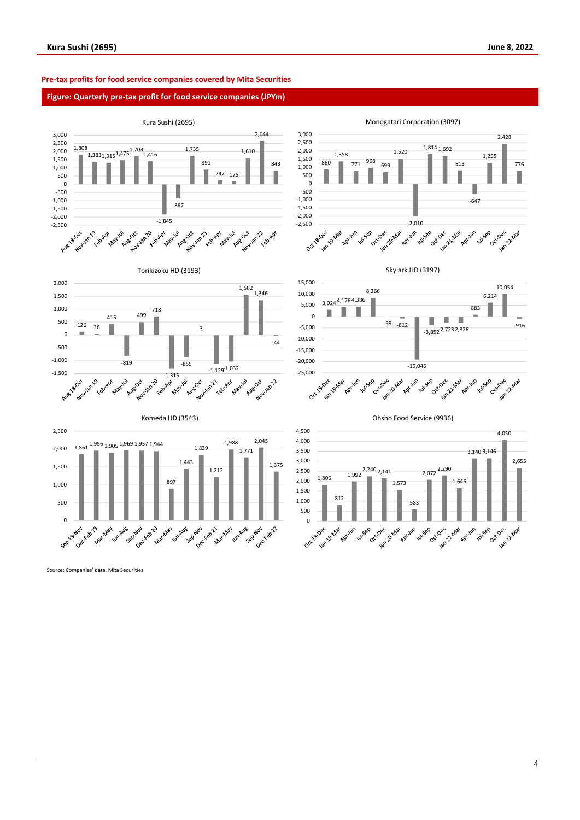# **Pre-tax profits for food service companies covered by Mita Securities**

### **Figure: Quarterly pre-tax profit for food service companies (JPYm)**



Monogatari Corporation (3097)











Torikizoku HD (3193)



Komeda HD (3543)



Source: Companies' data, Mita Securities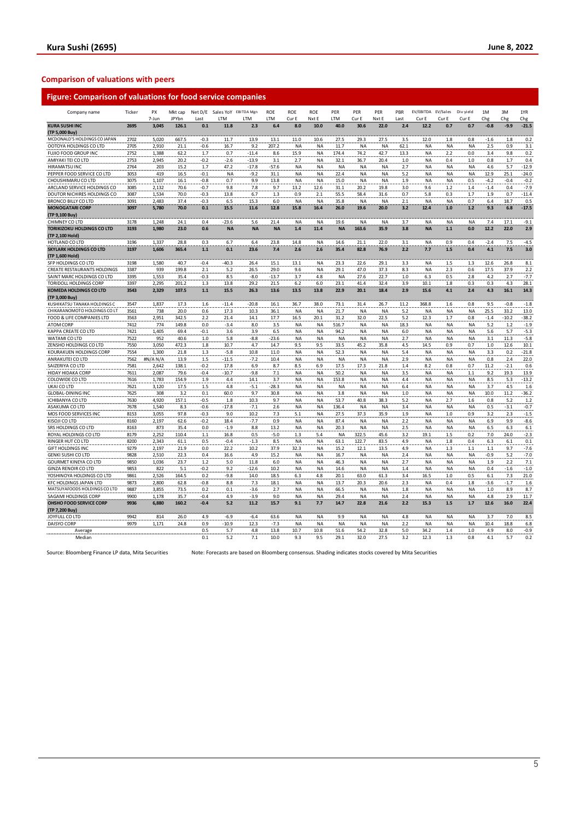# **Comparison of valuations with peers**

| Company name                                         | Ticker | PX<br>7-Jun | Mkt cap<br>JPYbn | Last       | Net D/E Sales YoY EBITDA Mgn<br>LTM | LTM        | <b>ROE</b><br>LTM | ROE<br>Cur E | <b>ROE</b><br>Nxt E | PER<br>LTM   | PER<br>Cur E | PER<br>Nxt E | PBR<br>Last | EV/EBITDA EV/Sales<br>Cur E | Cur E      | Div yield<br>Cur E | 1M<br>Chg  | 3M<br>Chg  | 1YR<br>Chg    |
|------------------------------------------------------|--------|-------------|------------------|------------|-------------------------------------|------------|-------------------|--------------|---------------------|--------------|--------------|--------------|-------------|-----------------------------|------------|--------------------|------------|------------|---------------|
| <b>KURA SUSHI INC</b>                                | 2695   | 3,045       | 126.1            | 0.1        | 11.8                                | 2.3        | 6.4               | 8.0          | 10.0                | 40.0         | 30.6         | 22.0         | 2.4         | 12.2                        | 0.7        | 0.7                | $-0.8$     | $-9.9$     | $-21.5$       |
| (TP 5,000 Buy)                                       |        |             |                  |            |                                     |            |                   |              |                     |              |              |              |             |                             |            |                    |            |            |               |
| MCDONALD'S HOLDINGS CO JAPAN                         | 2702   | 5,020       | 667.5            | $-0.3$     | 11.7                                | 13.9       | 13.1              | 11.0         | 10.6                | 27.5         | 29.3         | 27.5         | 3.5         | 12.0                        | 1.8        | 0.8                | $-1.6$     | 1.8        | 0.2           |
| OOTOYA HOLDINGS CO LTD                               | 2705   | 2,910       | 21.1             | $-0.6$     | 16.7                                | 9.2        | 207.2             | <b>NA</b>    | <b>NA</b>           | 11.7         | <b>NA</b>    | NA           | 62.1        | <b>NA</b>                   | <b>NA</b>  | NA                 | 2.5        | 0.9        | 3.1           |
| FUJIO FOOD GROUP INC                                 | 2752   | 1,388       | 62.2             | 1.7        | 0.7                                 | $-11.4$    | 8.6               | 15.9         | NA                  | 174.4        | 74.2         | 42.7         | 13.3        | <b>NA</b>                   | 2.2        | 0.0                | 3.4        | 9.8        | 0.2           |
| AMIYAKI TEI CO LTD                                   | 2753   | 2,945       | 20.2             | $-0.2$     | $-2.6$                              | $-13.9$    | 3.1               | 2.7          | NA                  | 32.1         | 36.7         | 20.4         | 1.0         | <b>NA</b>                   | 0.4        | 1.0                | 0.8        | 1.7        | 0.4           |
| <b>HIRAMATSUINC</b>                                  | 2764   | 203         | 15.2             | 1.7        | 47.2                                | $-17.8$    | $-57.6$           | <b>NA</b>    | NA                  | <b>NA</b>    | <b>NA</b>    | <b>NA</b>    | 2.7         | <b>NA</b>                   | <b>NA</b>  | NA                 | 4.6        | 5.7        | $-12.9$       |
| PEPPER FOOD SERVICE CO LTD                           | 3053   | 419         | 16.5             | $-0.1$     | NA                                  | $-9.2$     | 31.1              | <b>NA</b>    | NA                  | 22.4         | <b>NA</b>    | <b>NA</b>    | 5.2         | <b>NA</b>                   | <b>NA</b>  | NA                 | 12.9       | 25.1       | $-24.0$       |
| CHOUSHIMARU CO LTD                                   | 3075   | 1,107       | 16.1             | $-0.8$     | 0.7                                 | 9.9        | 13.8              | <b>NA</b>    | <b>NA</b>           | 15.0         | <b>NA</b>    | <b>NA</b>    | 1.9         | <b>NA</b>                   | <b>NA</b>  | 0.5                | $-4.2$     | $-0.4$     | $-0.2$        |
| ARCLAND SERVICE HOLDINGS CO                          | 3085   | 2,132       | 70.6             | $-0.7$     | 9.8                                 | 7.8        | 9.7               | 13.2         | 12.6                | 31.1         | 20.2         | 19.8         | 3.0         | 9.6                         | 1.2        | 1.4                | $-1.4$     | 0.4        | $-7.9$        |
| DOUTOR NICHIRES HOLDINGS CO                          | 3087   | 1,534       | 70.0             | $-0.3$     | 13.8                                | 6.7        | 1.3               | 0.9          | 2.1                 | 55.5         | 58.4         | 31.6         | 0.7         | 5.8                         | 0.3        | 1.7                | 1.9        | 0.7        | $-11.4$       |
| <b>BRONCO BILLY CO LTD</b>                           | 3091   | 2.483       | 37.4             | $-0.3$     | 6.5                                 | 15.3       | 6.0               | <b>NA</b>    | <b>NA</b>           | 35.8         | <b>NA</b>    | <b>NA</b>    | 2.1         | <b>NA</b>                   | <b>NA</b>  | 0.7                | 6.4        | 18.7       | 0.5           |
|                                                      | 3097   |             | 70.0             |            | 15.5                                |            | 12.8              |              |                     |              |              |              | 3.2         |                             |            | 1.2                |            |            |               |
| <b>MONOGATARI CORP</b>                               |        | 5,780       |                  | 0.1        |                                     | 11.6       |                   | 15.8         | 16.4                | 26.0         | 19.6         | 20.0         |             | 12.4                        | 1.0        |                    | 9.3        | 6.8        | $-17.5$       |
| (TP 9,100 Buy)                                       |        |             |                  |            |                                     |            |                   |              |                     |              |              |              |             |                             |            |                    |            |            |               |
| CHIMNEY CO LTD                                       | 3178   | 1.248       | 24.1             | 0.4        | $-23.6$                             | 5.6        | 21.4              | <b>NA</b>    | <b>NA</b>           | 19.6         | <b>NA</b>    | <b>NA</b>    | 3.7         | <b>NA</b>                   | <b>NA</b>  | <b>NA</b>          | 7.4        | 17.1       | $-9.1$        |
| <b>TORIKIZOKU HOLDINGS CO LTD</b><br>(TP 2,100 Hold) | 3193   | 1,980       | 23.0             | 0.6        | <b>NA</b>                           | <b>NA</b>  | <b>NA</b>         | 1.4          | 11.4                | <b>NA</b>    | 163.6        | 35.9         | 3.8         | <b>NA</b>                   | $1.1$      | 0.0                | 12.2       | 22.0       | 2.9           |
| HOTLAND CO LTD                                       | 3196   | 1,337       | 28.8             | 0.3        | 6.7                                 | 6.4        | 23.8              | 14.8         | NA                  | 14.6         | 21.1         | 22.0         | 31          | <b>NA</b>                   | 0.9        | 0.4                | $-2.4$     | 7.5        | $-4.5$        |
| <b>SKYLARK HOLDINGS CO LTD</b><br>(TP 1,600 Hold)    | 3197   | 1,606       | 365.4            | $1.1$      | 0.1                                 | 23.6       | 7.4               | 2.6          | 2.6                 | 35.4         | 82.8         | 76.9         | 2.2         | 7.7                         | 1.5        | 0.4                | 4.1        | 7.5        | 3.0           |
| SFP HOLDINGS CO LTD                                  | 3198   | 1,580       | 40.7             | $-0.4$     | $-40.3$                             | 26.4       | 15.1              | 13.1         | <b>NA</b>           | 23.3         | 22.6         | 29.1         | 3.3         | <b>NA</b>                   | 1.5        | 1.3                | 12.6       | 26.8       | 8.1           |
| CREATE RESTAURANTS HOLDINGS                          | 3387   | 939         | 199.8            | 2.1        | 5.2                                 | 26.5       | 29.0              | 9.6          | NA                  | 29.1         | 47.0         | 37.3         | 8.3         | <b>NA</b>                   | 2.3        | 0.6                | 17.5       | 37.9       | 2.2           |
| SAINT MARC HOLDINGS CO LTD                           | 3395   | 1,553       | 35.4             | $-0.3$     | 8.5                                 | $-8.0$     | $-13.7$           | 3.7          | 4.8                 | <b>NA</b>    | 27.6         | 22.7         | 1.0         | 6.3                         | 0.5        | 2.8                | 4.2        | 2.7        | $-7.7$        |
| TORIDOLL HOLDINGS CORP                               | 3397   | 2,295       | 201.2            | 1.3        | 13.8                                | 29.2       | 21.5              | 6.2          | 6.0                 | 23.1         | 41.4         | 32.4         | 3.9         | 10.1                        | 1.8        | 0.3                | 0.3        | 4.3        | 28.1          |
| <b>KOMEDA HOLDINGS CO LTD</b>                        | 3543   | 2,329       | 107.5            | $1.1$      | 15.5                                | 26.3       | 13.6              | 13.5         | 13.8                | 22.9         | 20.1         | 18.4         | 2.9         | 15.6                        | 4.1        | 2.4                | 4.3        | 16.1       | 14.3          |
| (TP 3,000 Buy)                                       |        |             |                  |            |                                     |            |                   |              |                     |              |              |              |             |                             |            |                    |            |            |               |
| KUSHIKATSU TANAKA HOLDINGS C                         | 3547   | 1,837       | 17.3             | 1.6        | $-11.4$                             | $-20.8$    | 16.1              | 36.7         | 38.0                | 73.1         | 31.4         | 26.7         | 11.2        | 368.8                       | 1.6        | 0.8                | 9.5        | $-0.8$     | $-1.8$        |
| CHIKARANOMOTO HOLDINGS CO LT                         | 3561   | 738         | 20.0             | 0.6        | 17.3                                | 10.3       | 36.1              | <b>NA</b>    | <b>NA</b>           | 21.7         | <b>NA</b>    | <b>NA</b>    | 5.2         | <b>NA</b>                   | <b>NA</b>  | <b>NA</b>          | 25.5       | 33.2       | 13.0          |
| FOOD & LIFE COMPANIES LTD                            | 3563   | 2,951       | 342.5            | 2.2        | 21.4                                | 14.1       | 17.7              | 16.5         | 20.1                | 31.2         | 32.0         | 22.5         | 5.2         | 12.3                        | 1.7        | 0.8                | $-1.4$     | $-10.2$    | $-38.2$       |
| ATOM CORP                                            | 7412   | 774         | 149.8            | 0.0        | $-3.4$                              | 8.0        | 3.5               | <b>NA</b>    | <b>NA</b>           | 516.7        | <b>NA</b>    | <b>NA</b>    | 18.3        | <b>NA</b>                   | <b>NA</b>  | NA                 | 5.2        | $1.2\,$    | $-1.9$        |
| KAPPA CREATE CO LTD                                  | 7421   | 1,405       | 69.4             | $-0.1$     | 3.6                                 | 3.9        | 6.5               | <b>NA</b>    | <b>NA</b>           | 94.2         | <b>NA</b>    | <b>NA</b>    | 6.0         | <b>NA</b>                   | <b>NA</b>  | <b>NA</b>          | 5.6        | 5.7        | $-5.3$        |
| WATAMI CO LTD                                        | 7522   | 952         | 40.6             | 1.0        | 5.8                                 | $-8.8$     | $-23.6$           | <b>NA</b>    | NA                  | <b>NA</b>    | <b>NA</b>    | <b>NA</b>    | 2.7         | <b>NA</b>                   | <b>NA</b>  | <b>NA</b>          | 3.1        | 11.3       | $-5.8$        |
|                                                      | 7550   | 3,050       | 472.3            |            |                                     |            |                   | 9.5          |                     |              |              |              |             |                             |            |                    |            | 12.6       | 10.1          |
| ZENSHO HOLDINGS CO LTD                               |        |             |                  | 1.8        | 10.7                                | 4.7        | 14.7              |              | 9.5                 | 33.5         | 45.2         | 35.8         | 4.5         | 14.5                        | 0.9        | 0.7                | 1.0        |            |               |
| KOURAKUEN HOLDINGS CORP                              | 7554   | 1,300       | 21.8             | 1.3        | $-5.8$                              | 10.8       | 11.0              | <b>NA</b>    | NA                  | 52.3         | <b>NA</b>    | <b>NA</b>    | 5.4         | <b>NA</b>                   | <b>NA</b>  | <b>NA</b>          | 3.3        | 0.2        | $-21.8$       |
| ANRAKUTEI CO LTD                                     | 7562   | #N/AN/A     | 13.9             | 1.5        | $-11.5$                             | $-7.2$     | 10.4              | <b>NA</b>    | <b>NA</b>           | <b>NA</b>    | <b>NA</b>    | <b>NA</b>    | 2.9         | <b>NA</b>                   | <b>NA</b>  | <b>NA</b>          | 0.8        | 2.4        | 22.0          |
| SAIZERIYA CO LTD                                     | 7581   | 2,642       | 138.1            | $-0.2$     | 17.8                                | 6.9        | 8.7               | 8.5          | 6.9                 | 17.5         | 17.3         | 21.8         | 1.4         | 8.2                         | 0.8        | 0.7                | 11.2       | $-2.1$     | 0.6           |
| HIDAY HIDAKA CORP                                    | 7611   | 2,087       | 79.6             | $-0.4$     | $-10.7$                             | $-9.8$     | 7.1               | <b>NA</b>    | NA                  | 50.2         | <b>NA</b>    | <b>NA</b>    | 3.5         | <b>NA</b>                   | <b>NA</b>  | 1.1                | 9.2        | 19.3       | 13.9          |
| COLOWIDE CO LTD                                      | 7616   | 1.783       | 154.9            | 1.9        | 4.4                                 | 14.1       | 3.7               | <b>NA</b>    | <b>NA</b>           | 153.8        | <b>NA</b>    | <b>NA</b>    | 4.4         | <b>NA</b>                   | <b>NA</b>  | <b>NA</b>          | 8.5        | 5.3        | $-13.2$       |
| UKAI CO LTD                                          | 7621   | 3,120       | 17.5             | 1.5        | 4.8                                 | $-5.1$     | $-28.3$           | <b>NA</b>    | NA                  | <b>NA</b>    | <b>NA</b>    | <b>NA</b>    | 6.4         | <b>NA</b>                   | <b>NA</b>  | <b>NA</b>          | 3.7        | 4.5        | 1.6           |
| <b>GLOBAL-DINING INC</b>                             | 7625   | 308         | 3.2              | 0.1        | 60.0                                | 9.7        | 30.8              | <b>NA</b>    | <b>NA</b>           | 3.8          | <b>NA</b>    | <b>NA</b>    | 1.0         | <b>NA</b>                   | <b>NA</b>  | NA                 | 10.0       | 11.2       | $-36.2$       |
| ICHIBANYA CO LTD                                     | 7630   | 4,920       | 157.1            | $-0.5$     | 1.8                                 | 10.3       | 9.7               | NA           | NA                  | 53.7         | 40.8         | 38.3         | 5.2         | <b>NA</b>                   | 2.7        | 1.6                | 0.8        | 5.2        | 1.2           |
| ASAKUMA CO LTD                                       | 7678   | 1,540       | 8.3              | -0.6       | $-17.8$                             | $-7.1$     | 2.6               | NA           | ΝA                  | 136.4        | <b>NA</b>    | NA           | 3.4         | <b>NA</b>                   | <b>NA</b>  | NA                 | 0.5        | $-3.1$     | $-0.7$        |
| MOS FOOD SERVICES INC                                | 8153   | 3,055       | 97.8             | $-0.3$     | 9.0                                 | 10.2       | 7.3               | 5.1          | ΝA                  | 27.5         | 37.3         | 35.9         | 1.9         | <b>NA</b>                   | $1.0$      | 0.9                | 3.2        | 2.3        | $-1.5$        |
| KISOJI CO LTD                                        | 8160   | 2,197       | 62.6             | $-0.2$     | 18.4                                | $-7.7$     | 0.9               | <b>NA</b>    | NA                  | 87.4         | <b>NA</b>    | NA           | 2.2         | <b>NA</b>                   | <b>NA</b>  | <b>NA</b>          | 6.9        | 9.9        | $-8.6$        |
| SRS HOLDINGS CO LTD                                  | 8163   | 873         | 35.4             | 0.0        | $-1.9$                              | 8.8        | 13.2              | <b>NA</b>    | NA                  | 20.3         | <b>NA</b>    | NA           | 2.5         | <b>NA</b>                   | <b>NA</b>  | NA                 | 6.5        | 6.3        | 6.1           |
| ROYAL HOLDINGS CO LTD                                | 8179   | 2,252       | 110.4            | 1.1        | 16.8                                | 0.5        | $-5.0$            | 1.3          | 5.4                 | NA           | 322.5        | 45.6         | 3.2         | 19.1                        | 1.5        | 0.2                | 7.0        | 24.0       | $-2.3$        |
| RINGER HUT CO LTD                                    | 8200   | 2,343       | 61.1             | 0.5        | $-0.4$                              | $-1.3$     | 8.5               | <b>NA</b>    | NA                  | 63.1         | 122.7        | 83.5         | 4.9         | <b>NA</b>                   | 1.8        | 0.4                | 6.3        | 6.1        | 0.1           |
| <b>GIFT HOLDINGS INC</b>                             | 9279   | 2,197       | 21.9             | 0.0        | 22.2                                | 10.2       | 37.9              | 32.3         | NA                  | 15.2         | 12.1         | 13.5         | 4.9         | <b>NA</b>                   | 1.3        | 1.1                | $1.1$      | 9.7        | $-7.6$        |
| <b>GENKI SUSHI CO LTD</b>                            | 9828   | 2,510       | 22.3             | 0.4        | 16.6                                | 4.9        | 15.2              | <b>NA</b>    | ΝA                  | 16.7         | <b>NA</b>    | <b>NA</b>    | 2.4         | <b>NA</b>                   | <b>NA</b>  | NA                 | $-0.9$     | 5.2        | $-7.0$        |
| GOURMET KINEYA CO LTD                                | 9850   | 1,036       | 23.7             | 1.2        | 5.0                                 | 11.8       | 6.0               | <b>NA</b>    | <b>NA</b>           | 46.3         | <b>NA</b>    | <b>NA</b>    | 2.7         | <b>NA</b>                   | <b>NA</b>  | <b>NA</b>          | 1.9        | 2.2        | 7.1           |
| <b>GINZA RENOIR CO LTD</b>                           | 9853   | 822         | 5.1              | $-0.2$     | 9.2                                 | $-12.6$    | 10.2              | NA           | NA                  | 14.6         | <b>NA</b>    | <b>NA</b>    | 1.4         | <b>NA</b>                   | <b>NA</b>  | NA                 | 0.4        | $-1.6$     | $-1.0$        |
| YOSHINOYA HOLDINGS CO LTD                            | 9861   | 2,526       | 164.5            | 0.2        | $-9.8$                              | 14.0       | 18.5              | 6.3          | 4.8                 | 20.1         | 63.0         | 61.3         | 3.4         | 16.5                        | 1.0        | 0.5                | 6.1        | 7.3        | 21.0          |
| KFC HOLDINGS JAPAN LTD                               | 9873   | 2,800       | 62.8             | $-0.8$     | 8.8                                 | 7.3        | 18.1              | <b>NA</b>    | NA                  | 13.7         | 20.3         | 20.6         | 2.3         | <b>NA</b>                   | 0.4        | 1.8                | $-3.6$     | $-1.7$     | 1.6           |
| MATSUYAFOODS HOLDINGS CO LTD                         | 9887   | 3,855       | 73.5             | 0.2        | 0.1                                 | $-3.6$     | 2.7               | <b>NA</b>    | <b>NA</b>           | 66.5         | <b>NA</b>    | <b>NA</b>    | 1.8         | <b>NA</b>                   | <b>NA</b>  | <b>NA</b>          | 1.0        | 8.9        | 8.7           |
| SAGAMI HOLDINGS CORP                                 | 9900   | 1,178       | 35.7             | $-0.4$     | 4.9                                 | $-3.9$     | 9.0               | <b>NA</b>    | NA                  | 29.4         | <b>NA</b>    | <b>NA</b>    | 2.4         | <b>NA</b>                   | <b>NA</b>  | <b>NA</b>          | 4.8        | 2.9        | 11.7          |
| <b>OHSHO FOOD SERVICE CORP</b><br>(TP 7,200 Buy)     | 9936   | 6,880       | 160.2            | $-0.4$     | 5.2                                 | 11.2       | 15.7              | 9.1          | 7.7                 | 14.7         | 22.8         | 21.6         | 2.2         | 15.3                        | 1.5        | 1.7                | 12.6       | 16.0       | 22.4          |
| JOYFULL CO LTD                                       | 9942   | 814         | 26.0             | 4.9        | $-6.9$                              | $-6.4$     | 63.6              | <b>NA</b>    | <b>NA</b>           | 9.9          | <b>NA</b>    | <b>NA</b>    | 4.8         | <b>NA</b>                   | <b>NA</b>  | <b>NA</b>          | 3.7        | 7.0        | 8.5           |
| DAISYO CORP                                          | 9979   | 1,171       | 24.8             | 0.9        | $-10.9$                             | 12.3       | $-7.3$            | <b>NA</b>    | <b>NA</b>           | <b>NA</b>    | <b>NA</b>    | <b>NA</b>    | 2.2         | <b>NA</b>                   | <b>NA</b>  | <b>NA</b>          | 10.4       | 18.8       | 6.8           |
| Average<br>Median                                    |        |             |                  | 0.5<br>0.1 | 5.7<br>5.2                          | 4.8<br>7.1 | 13.8<br>10.0      | 10.7<br>9.3  | 10.8<br>9.5         | 51.6<br>29.1 | 54.2<br>32.0 | 32.8<br>27.5 | 5.0<br>3.2  | 34.2<br>12.3                | 1.4<br>1.3 | 1.0<br>0.8         | 4.9<br>4.1 | 8.0<br>5.7 | $-0.9$<br>0.2 |
|                                                      |        |             |                  |            |                                     |            |                   |              |                     |              |              |              |             |                             |            |                    |            |            |               |

Source: Bloomberg Finance LP data, Mita Securities Note: Forecasts are based on Bloomberg consensus. Shading indicates stocks covered by Mita Securities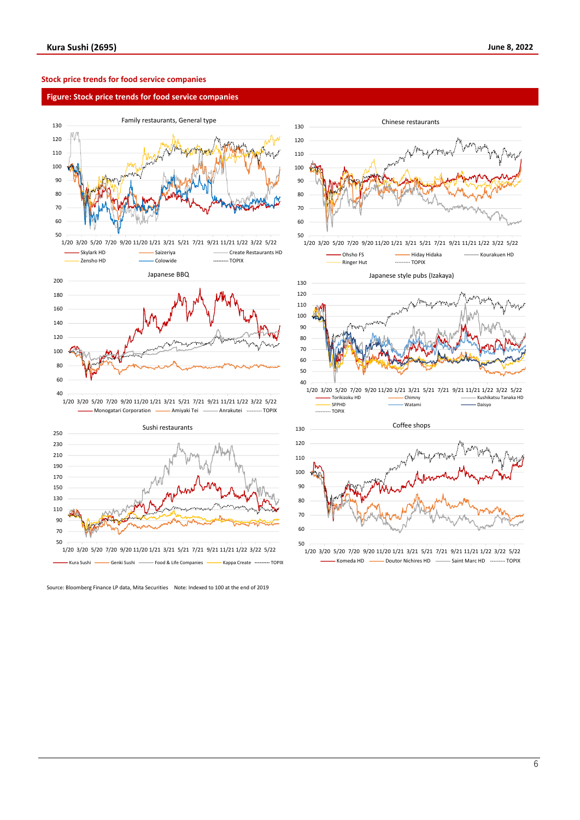# **Stock price trends for food service companies**

### **Figure: Stock price trends for food service companies**





Source: Bloomberg Finance LP data, Mita Securities Note: Indexed to 100 at the end of 2019



<sup>1/20</sup> 3/20 5/20 7/20 9/20 11/20 1/21 3/21 5/21 7/21 9/21 11/21 1/22 3/22 5/22 Komeda HD **-** Doutor Nichires HD - Saint Marc HD - DOPIX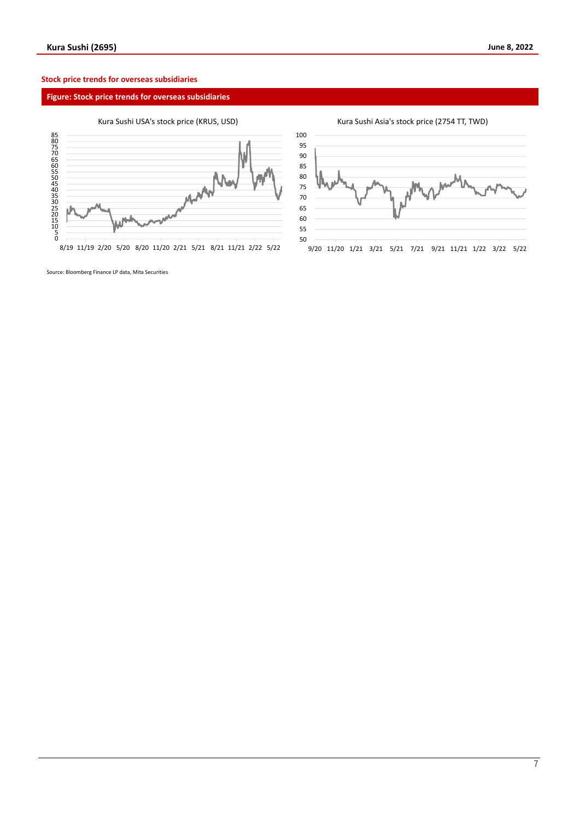# **Stock price trends for overseas subsidiaries**

# **Figure: Stock price trends for overseas subsidiaries**

# Kura Sushi USA's stock price (KRUS, USD)



8/19 11/19 2/20 5/20 8/20 11/20 2/21 5/21 8/21 11/21 2/22 5/22

Kura Sushi Asia's stock price (2754 TT, TWD)



Source: Bloomberg Finance LP data, Mita Securities